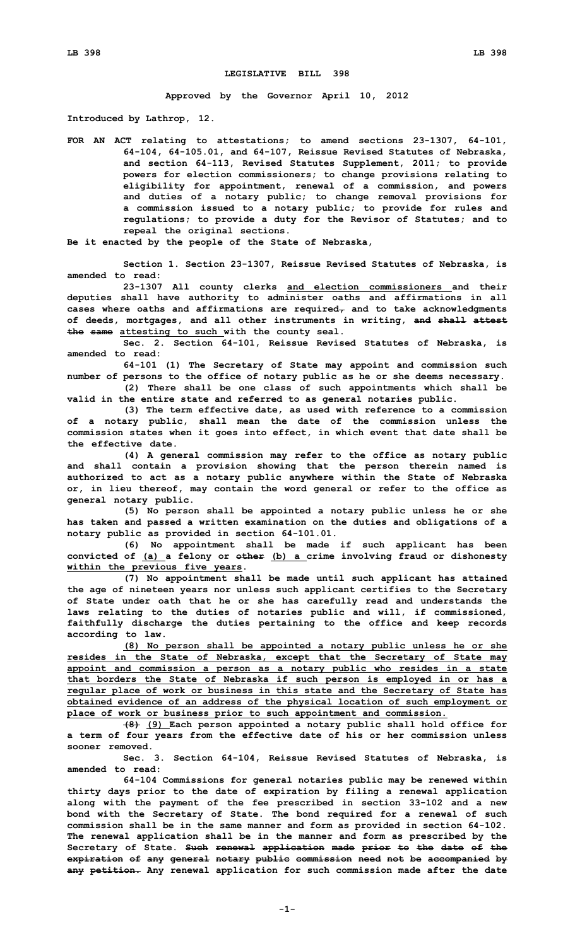## **LEGISLATIVE BILL 398**

**Approved by the Governor April 10, 2012**

**Introduced by Lathrop, 12.**

**FOR AN ACT relating to attestations; to amend sections 23-1307, 64-101, 64-104, 64-105.01, and 64-107, Reissue Revised Statutes of Nebraska, and section 64-113, Revised Statutes Supplement, 2011; to provide powers for election commissioners; to change provisions relating to eligibility for appointment, renewal of <sup>a</sup> commission, and powers and duties of <sup>a</sup> notary public; to change removal provisions for <sup>a</sup> commission issued to <sup>a</sup> notary public; to provide for rules and regulations; to provide <sup>a</sup> duty for the Revisor of Statutes; and to repeal the original sections.**

**Be it enacted by the people of the State of Nebraska,**

**Section 1. Section 23-1307, Reissue Revised Statutes of Nebraska, is amended to read:**

**23-1307 All county clerks and election commissioners and their deputies shall have authority to administer oaths and affirmations in all cases where oaths and affirmations are required, and to take acknowledgments of deeds, mortgages, and all other instruments in writing, and shall attest the same attesting to such with the county seal.**

**Sec. 2. Section 64-101, Reissue Revised Statutes of Nebraska, is amended to read:**

**64-101 (1) The Secretary of State may appoint and commission such number of persons to the office of notary public as he or she deems necessary. (2) There shall be one class of such appointments which shall be**

**valid in the entire state and referred to as general notaries public.**

**(3) The term effective date, as used with reference to <sup>a</sup> commission of <sup>a</sup> notary public, shall mean the date of the commission unless the commission states when it goes into effect, in which event that date shall be the effective date.**

**(4) <sup>A</sup> general commission may refer to the office as notary public and shall contain <sup>a</sup> provision showing that the person therein named is authorized to act as <sup>a</sup> notary public anywhere within the State of Nebraska or, in lieu thereof, may contain the word general or refer to the office as general notary public.**

**(5) No person shall be appointed <sup>a</sup> notary public unless he or she has taken and passed <sup>a</sup> written examination on the duties and obligations of <sup>a</sup> notary public as provided in section 64-101.01.**

**(6) No appointment shall be made if such applicant has been convicted of (a) <sup>a</sup> felony or other (b) <sup>a</sup> crime involving fraud or dishonesty within the previous five years.**

**(7) No appointment shall be made until such applicant has attained the age of nineteen years nor unless such applicant certifies to the Secretary of State under oath that he or she has carefully read and understands the laws relating to the duties of notaries public and will, if commissioned, faithfully discharge the duties pertaining to the office and keep records according to law.**

**(8) No person shall be appointed <sup>a</sup> notary public unless he or she resides in the State of Nebraska, except that the Secretary of State may appoint and commission <sup>a</sup> person as <sup>a</sup> notary public who resides in <sup>a</sup> state that borders the State of Nebraska if such person is employed in or has <sup>a</sup> regular place of work or business in this state and the Secretary of State has obtained evidence of an address of the physical location of such employment or place of work or business prior to such appointment and commission.**

**(8) (9) Each person appointed <sup>a</sup> notary public shall hold office for <sup>a</sup> term of four years from the effective date of his or her commission unless sooner removed.**

**Sec. 3. Section 64-104, Reissue Revised Statutes of Nebraska, is amended to read:**

**64-104 Commissions for general notaries public may be renewed within thirty days prior to the date of expiration by filing <sup>a</sup> renewal application along with the payment of the fee prescribed in section 33-102 and <sup>a</sup> new bond with the Secretary of State. The bond required for <sup>a</sup> renewal of such commission shall be in the same manner and form as provided in section 64-102. The renewal application shall be in the manner and form as prescribed by the Secretary of State. Such renewal application made prior to the date of the expiration of any general notary public commission need not be accompanied by any petition. Any renewal application for such commission made after the date**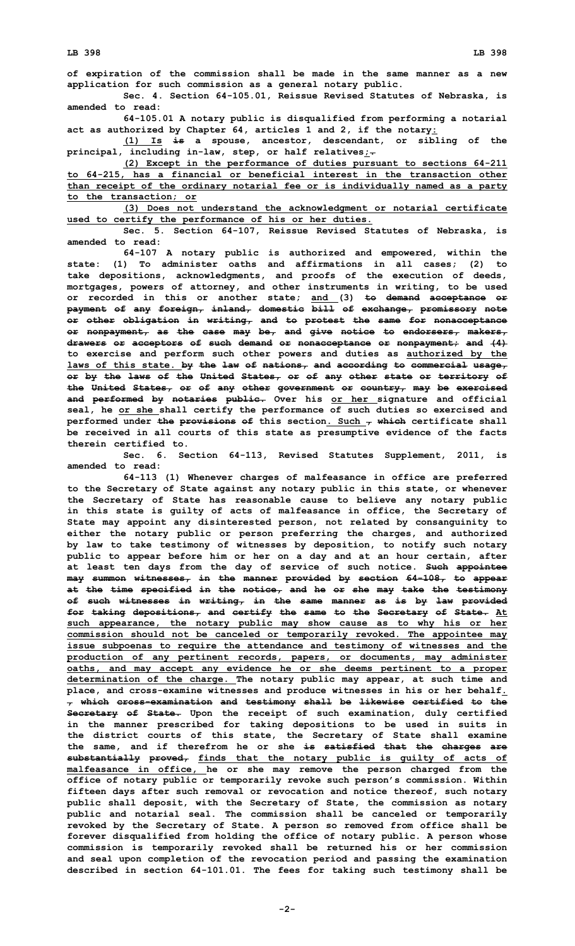**of expiration of the commission shall be made in the same manner as <sup>a</sup> new application for such commission as <sup>a</sup> general notary public.**

**Sec. 4. Section 64-105.01, Reissue Revised Statutes of Nebraska, is amended to read:**

**64-105.01 <sup>A</sup> notary public is disqualified from performing <sup>a</sup> notarial act as authorized by Chapter 64, articles 1 and 2, if the notary:**

**(1) Is is <sup>a</sup> spouse, ancestor, descendant, or sibling of the principal, including in-law, step, or half relatives;.**

**(2) Except in the performance of duties pursuant to sections 64-211 to 64-215, has <sup>a</sup> financial or beneficial interest in the transaction other than receipt of the ordinary notarial fee or is individually named as <sup>a</sup> party to the transaction; or**

**(3) Does not understand the acknowledgment or notarial certificate used to certify the performance of his or her duties.**

**Sec. 5. Section 64-107, Reissue Revised Statutes of Nebraska, is amended to read:**

**64-107 <sup>A</sup> notary public is authorized and empowered, within the state: (1) To administer oaths and affirmations in all cases; (2) to take depositions, acknowledgments, and proofs of the execution of deeds, mortgages, powers of attorney, and other instruments in writing, to be used or recorded in this or another state; and (3) to demand acceptance or payment of any foreign, inland, domestic bill of exchange, promissory note or other obligation in writing, and to protest the same for nonacceptance or nonpayment, as the case may be, and give notice to endorsers, makers, drawers or acceptors of such demand or nonacceptance or nonpayment; and (4) to exercise and perform such other powers and duties as authorized by the laws of this state. by the law of nations, and according to commercial usage, or by the laws of the United States, or of any other state or territory of the United States, or of any other government or country, may be exercised and performed by notaries public. Over his or her signature and official seal, he or she shall certify the performance of such duties so exercised and performed under the provisions of this section. Such , which certificate shall be received in all courts of this state as presumptive evidence of the facts therein certified to.**

**Sec. 6. Section 64-113, Revised Statutes Supplement, 2011, is amended to read:**

**64-113 (1) Whenever charges of malfeasance in office are preferred to the Secretary of State against any notary public in this state, or whenever the Secretary of State has reasonable cause to believe any notary public in this state is guilty of acts of malfeasance in office, the Secretary of State may appoint any disinterested person, not related by consanguinity to either the notary public or person preferring the charges, and authorized by law to take testimony of witnesses by deposition, to notify such notary public to appear before him or her on <sup>a</sup> day and at an hour certain, after at least ten days from the day of service of such notice. Such appointee may summon witnesses, in the manner provided by section 64-108, to appear at the time specified in the notice, and he or she may take the testimony of such witnesses in writing, in the same manner as is by law provided for taking depositions, and certify the same to the Secretary of State. At such appearance, the notary public may show cause as to why his or her commission should not be canceled or temporarily revoked. The appointee may issue subpoenas to require the attendance and testimony of witnesses and the production of any pertinent records, papers, or documents, may administer oaths, and may accept any evidence he or she deems pertinent to <sup>a</sup> proper determination of the charge. The notary public may appear, at such time and place, and cross-examine witnesses and produce witnesses in his or her behalf. , which cross-examination and testimony shall be likewise certified to the Secretary of State. Upon the receipt of such examination, duly certified in the manner prescribed for taking depositions to be used in suits in the district courts of this state, the Secretary of State shall examine the same, and if therefrom he or she is satisfied that the charges are substantially proved, finds that the notary public is guilty of acts of malfeasance in office, he or she may remove the person charged from the office of notary public or temporarily revoke such person's commission. Within fifteen days after such removal or revocation and notice thereof, such notary public shall deposit, with the Secretary of State, the commission as notary public and notarial seal. The commission shall be canceled or temporarily revoked by the Secretary of State. A person so removed from office shall be forever disqualified from holding the office of notary public. A person whose commission is temporarily revoked shall be returned his or her commission and seal upon completion of the revocation period and passing the examination described in section 64-101.01. The fees for taking such testimony shall be**